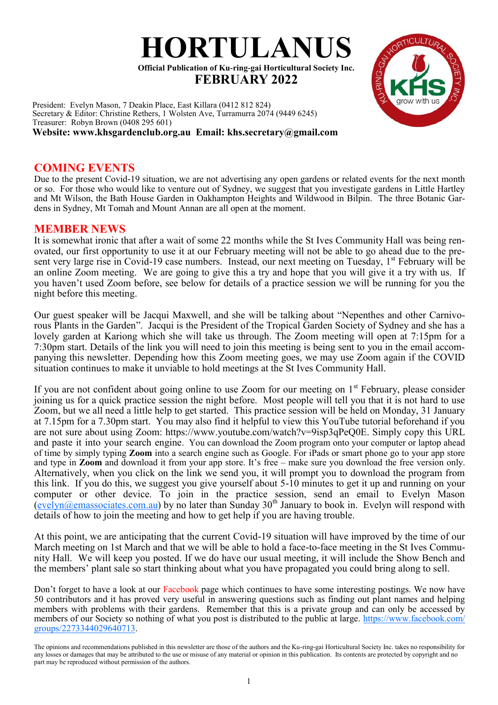

President: Evelyn Mason, 7 Deakin Place, East Killara (0412 812 824) Secretary & Editor: Christine Rethers, 1 Wolsten Ave, Turramurra 2074 (9449 6245) Treasurer: Robyn Brown (0408 295 601) **Website: www.khsgardenclub.org.au Email: khs.secretary@gmail.com**

### **COMING EVENTS**

Due to the present Covid-19 situation, we are not advertising any open gardens or related events for the next month or so. For those who would like to venture out of Sydney, we suggest that you investigate gardens in Little Hartley and Mt Wilson, the Bath House Garden in Oakhampton Heights and Wildwood in Bilpin. The three Botanic Gardens in Sydney, Mt Tomah and Mount Annan are all open at the moment.

## **MEMBER NEWS**

It is somewhat ironic that after a wait of some 22 months while the St Ives Community Hall was being renovated, our first opportunity to use it at our February meeting will not be able to go ahead due to the present very large rise in Covid-19 case numbers. Instead, our next meeting on Tuesday, 1<sup>st</sup> February will be an online Zoom meeting. We are going to give this a try and hope that you will give it a try with us. If you haven't used Zoom before, see below for details of a practice session we will be running for you the night before this meeting.

Our guest speaker will be Jacqui Maxwell, and she will be talking about "Nepenthes and other Carnivorous Plants in the Garden". Jacqui is the President of the Tropical Garden Society of Sydney and she has a lovely garden at Kariong which she will take us through. The Zoom meeting will open at 7:15pm for a 7:30pm start. Details of the link you will need to join this meeting is being sent to you in the email accompanying this newsletter. Depending how this Zoom meeting goes, we may use Zoom again if the COVID situation continues to make it unviable to hold meetings at the St Ives Community Hall.

If you are not confident about going online to use Zoom for our meeting on 1<sup>st</sup> February, please consider joining us for a quick practice session the night before. Most people will tell you that it is not hard to use Zoom, but we all need a little help to get started. This practice session will be held on Monday, 31 January at 7.15pm for a 7.30pm start. You may also find it helpful to view this YouTube tutorial beforehand if you are not sure about using Zoom: https://www.youtube.com/watch?v=9isp3qPeQ0E. Simply copy this URL and paste it into your search engine. You can download the Zoom program onto your computer or laptop ahead of time by simply typing **Zoom** into a search engine such as Google. For iPads or smart phone go to your app store and type in **Zoom** and download it from your app store. It's free – make sure you download the free version only. Alternatively, when you click on the link we send you, it will prompt you to download the program from this link. If you do this, we suggest you give yourself about 5-10 minutes to get it up and running on your computer or other device. To join in the practice session, send an email to Evelyn Mason  $(evelyn@emassociates.com.au)$  $(evelyn@emassociates.com.au)$  by no later than Sunday 30<sup>th</sup> January to book in. Evelyn will respond with details of how to join the meeting and how to get help if you are having trouble.

At this point, we are anticipating that the current Covid-19 situation will have improved by the time of our March meeting on 1st March and that we will be able to hold a face-to-face meeting in the St Ives Community Hall. We will keep you posted. If we do have our usual meeting, it will include the Show Bench and the members' plant sale so start thinking about what you have propagated you could bring along to sell.

Don't forget to have a look at our Facebook page which continues to have some interesting postings. We now have 50 contributors and it has proved very useful in answering questions such as finding out plant names and helping members with problems with their gardens. Remember that this is a private group and can only be accessed by members of our Society so nothing of what you post is distributed to the public at large. [https://www.facebook.com/](https://www.facebook.com/groups/2273344029640713) [groups/2273344029640713.](https://www.facebook.com/groups/2273344029640713)



The opinions and recommendations published in this newsletter are those of the authors and the Ku-ring-gai Horticultural Society Inc. takes no responsibility for any losses or damages that may be attributed to the use or misuse of any material or opinion in this publication. Its contents are protected by copyright and no part may be reproduced without permission of the authors.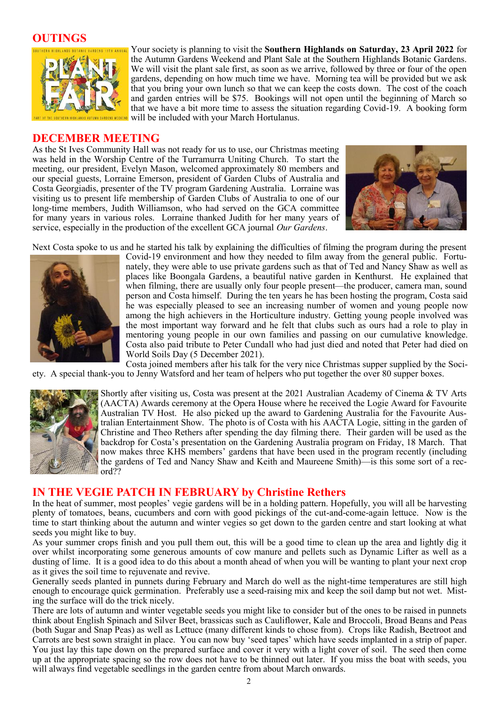### **OUTINGS**



Your society is planning to visit the **Southern Highlands on Saturday, 23 April 2022** for the Autumn Gardens Weekend and Plant Sale at the Southern Highlands Botanic Gardens. We will visit the plant sale first, as soon as we arrive, followed by three or four of the open gardens, depending on how much time we have. Morning tea will be provided but we ask that you bring your own lunch so that we can keep the costs down. The cost of the coach and garden entries will be \$75. Bookings will not open until the beginning of March so that we have a bit more time to assess the situation regarding Covid-19. A booking form will be included with your March Hortulanus.

#### **DECEMBER MEETING**

As the St Ives Community Hall was not ready for us to use, our Christmas meeting was held in the Worship Centre of the Turramurra Uniting Church. To start the meeting, our president, Evelyn Mason, welcomed approximately 80 members and our special guests, Lorraine Emerson, president of Garden Clubs of Australia and Costa Georgiadis, presenter of the TV program Gardening Australia. Lorraine was visiting us to present life membership of Garden Clubs of Australia to one of our long-time members, Judith Williamson, who had served on the GCA committee for many years in various roles. Lorraine thanked Judith for her many years of service, especially in the production of the excellent GCA journal *Our Gardens*.



Next Costa spoke to us and he started his talk by explaining the difficulties of filming the program during the present



Covid-19 environment and how they needed to film away from the general public. Fortunately, they were able to use private gardens such as that of Ted and Nancy Shaw as well as places like Boongala Gardens, a beautiful native garden in Kenthurst. He explained that when filming, there are usually only four people present—the producer, camera man, sound person and Costa himself. During the ten years he has been hosting the program, Costa said he was especially pleased to see an increasing number of women and young people now among the high achievers in the Horticulture industry. Getting young people involved was the most important way forward and he felt that clubs such as ours had a role to play in mentoring young people in our own families and passing on our cumulative knowledge. Costa also paid tribute to Peter Cundall who had just died and noted that Peter had died on World Soils Day (5 December 2021).

Costa joined members after his talk for the very nice Christmas supper supplied by the Society. A special thank-you to Jenny Watsford and her team of helpers who put together the over 80 supper boxes.



Shortly after visiting us, Costa was present at the 2021 Australian Academy of Cinema & TV Arts (AACTA) Awards ceremony at the Opera House where he received the Logie Award for Favourite Australian TV Host. He also picked up the award to Gardening Australia for the Favourite Australian Entertainment Show. The photo is of Costa with his AACTA Logie, sitting in the garden of Christine and Theo Rethers after spending the day filming there. Their garden will be used as the backdrop for Costa's presentation on the Gardening Australia program on Friday, 18 March. That now makes three KHS members' gardens that have been used in the program recently (including the gardens of Ted and Nancy Shaw and Keith and Maureene Smith)—is this some sort of a record??

### **IN THE VEGIE PATCH IN FEBRUARY by Christine Rethers**

In the heat of summer, most peoples' vegie gardens will be in a holding pattern. Hopefully, you will all be harvesting plenty of tomatoes, beans, cucumbers and corn with good pickings of the cut-and-come-again lettuce. Now is the time to start thinking about the autumn and winter vegies so get down to the garden centre and start looking at what seeds you might like to buy.

As your summer crops finish and you pull them out, this will be a good time to clean up the area and lightly dig it over whilst incorporating some generous amounts of cow manure and pellets such as Dynamic Lifter as well as a dusting of lime. It is a good idea to do this about a month ahead of when you will be wanting to plant your next crop as it gives the soil time to rejuvenate and revive.

Generally seeds planted in punnets during February and March do well as the night-time temperatures are still high enough to encourage quick germination. Preferably use a seed-raising mix and keep the soil damp but not wet. Misting the surface will do the trick nicely.

There are lots of autumn and winter vegetable seeds you might like to consider but of the ones to be raised in punnets think about English Spinach and Silver Beet, brassicas such as Cauliflower, Kale and Broccoli, Broad Beans and Peas (both Sugar and Snap Peas) as well as Lettuce (many different kinds to chose from). Crops like Radish, Beetroot and Carrots are best sown straight in place. You can now buy 'seed tapes' which have seeds implanted in a strip of paper. You just lay this tape down on the prepared surface and cover it very with a light cover of soil. The seed then come up at the appropriate spacing so the row does not have to be thinned out later. If you miss the boat with seeds, you will always find vegetable seedlings in the garden centre from about March onwards.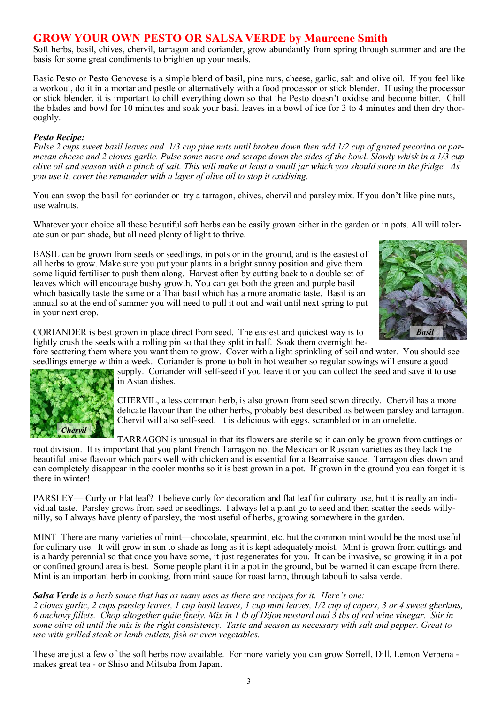# **GROW YOUR OWN PESTO OR SALSA VERDE by Maureene Smith**

Soft herbs, basil, chives, chervil, tarragon and coriander, grow abundantly from spring through summer and are the basis for some great condiments to brighten up your meals.

Basic Pesto or Pesto Genovese is a simple blend of basil, pine nuts, cheese, garlic, salt and olive oil. If you feel like a workout, do it in a mortar and pestle or alternatively with a food processor or stick blender. If using the processor or stick blender, it is important to chill everything down so that the Pesto doesn't oxidise and become bitter. Chill the blades and bowl for 10 minutes and soak your basil leaves in a bowl of ice for 3 to 4 minutes and then dry thoroughly.

#### *Pesto Recipe:*

*Chervil*

*Pulse 2 cups sweet basil leaves and 1/3 cup pine nuts until broken down then add 1/2 cup of grated pecorino or parmesan cheese and 2 cloves garlic. Pulse some more and scrape down the sides of the bowl. Slowly whisk in a 1/3 cup olive oil and season with a pinch of salt. This will make at least a small jar which you should store in the fridge. As you use it, cover the remainder with a layer of olive oil to stop it oxidising.*

You can swop the basil for coriander or try a tarragon, chives, chervil and parsley mix. If you don't like pine nuts, use walnuts.

Whatever your choice all these beautiful soft herbs can be easily grown either in the garden or in pots. All will tolerate sun or part shade, but all need plenty of light to thrive.

BASIL can be grown from seeds or seedlings, in pots or in the ground, and is the easiest of all herbs to grow. Make sure you put your plants in a bright sunny position and give them some liquid fertiliser to push them along. Harvest often by cutting back to a double set of leaves which will encourage bushy growth. You can get both the green and purple basil which basically taste the same or a Thai basil which has a more aromatic taste. Basil is an annual so at the end of summer you will need to pull it out and wait until next spring to put in your next crop.



CORIANDER is best grown in place direct from seed. The easiest and quickest way is to lightly crush the seeds with a rolling pin so that they split in half. Soak them overnight be-

fore scattering them where you want them to grow. Cover with a light sprinkling of soil and water. You should see seedlings emerge within a week. Coriander is prone to bolt in hot weather so regular sowings will ensure a good supply. Coriander will self-seed if you leave it or you can collect the seed and save it to use in Asian dishes.

> CHERVIL, a less common herb, is also grown from seed sown directly. Chervil has a more delicate flavour than the other herbs, probably best described as between parsley and tarragon. Chervil will also self-seed. It is delicious with eggs, scrambled or in an omelette.

TARRAGON is unusual in that its flowers are sterile so it can only be grown from cuttings or

root division. It is important that you plant French Tarragon not the Mexican or Russian varieties as they lack the beautiful anise flavour which pairs well with chicken and is essential for a Bearnaise sauce. Tarragon dies down and can completely disappear in the cooler months so it is best grown in a pot. If grown in the ground you can forget it is there in winter!

PARSLEY— Curly or Flat leaf? I believe curly for decoration and flat leaf for culinary use, but it is really an individual taste. Parsley grows from seed or seedlings. I always let a plant go to seed and then scatter the seeds willynilly, so I always have plenty of parsley, the most useful of herbs, growing somewhere in the garden.

MINT There are many varieties of mint—chocolate, spearmint, etc. but the common mint would be the most useful for culinary use. It will grow in sun to shade as long as it is kept adequately moist. Mint is grown from cuttings and is a hardy perennial so that once you have some, it just regenerates for you. It can be invasive, so growing it in a pot or confined ground area is best. Some people plant it in a pot in the ground, but be warned it can escape from there. Mint is an important herb in cooking, from mint sauce for roast lamb, through tabouli to salsa verde.

#### *Salsa Verde is a herb sauce that has as many uses as there are recipes for it. Here's one:*

*2 cloves garlic, 2 cups parsley leaves, 1 cup basil leaves, 1 cup mint leaves, 1/2 cup of capers, 3 or 4 sweet gherkins, 6 anchovy fillets. Chop altogether quite finely. Mix in 1 tb of Dijon mustard and 3 tbs of red wine vinegar. Stir in some olive oil until the mix is the right consistency. Taste and season as necessary with salt and pepper. Great to use with grilled steak or lamb cutlets, fish or even vegetables.*

These are just a few of the soft herbs now available. For more variety you can grow Sorrell, Dill, Lemon Verbena makes great tea - or Shiso and Mitsuba from Japan.